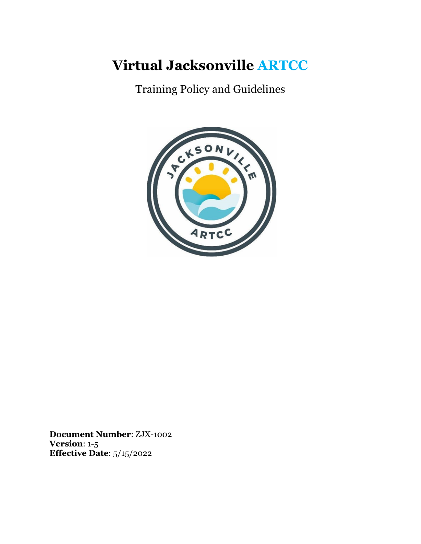# **Virtual Jacksonville ARTCC**

Training Policy and Guidelines



**Document Number**: ZJX-1002 **Version**: 1-5 **Effective Date**: 5/15/2022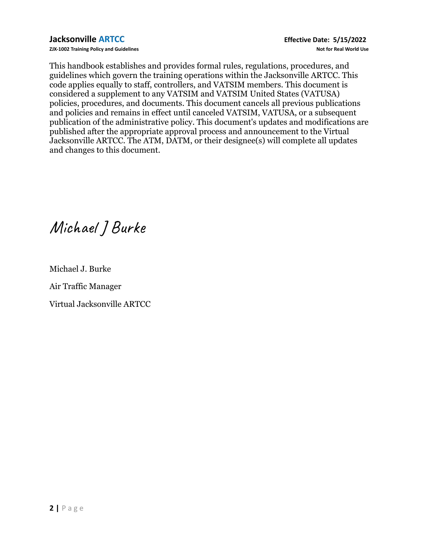**ZJX-1002 Training Policy and Guidelines Not for Real World Use**

This handbook establishes and provides formal rules, regulations, procedures, and guidelines which govern the training operations within the Jacksonville ARTCC. This code applies equally to staff, controllers, and VATSIM members. This document is considered a supplement to any VATSIM and VATSIM United States (VATUSA) policies, procedures, and documents. This document cancels all previous publications and policies and remains in effect until canceled VATSIM, VATUSA, or a subsequent publication of the administrative policy. This document's updates and modifications are published after the appropriate approval process and announcement to the Virtual Jacksonville ARTCC. The ATM, DATM, or their designee(s) will complete all updates and changes to this document.

Michael JBurke

Michael J. Burke

Air Traffic Manager

Virtual Jacksonville ARTCC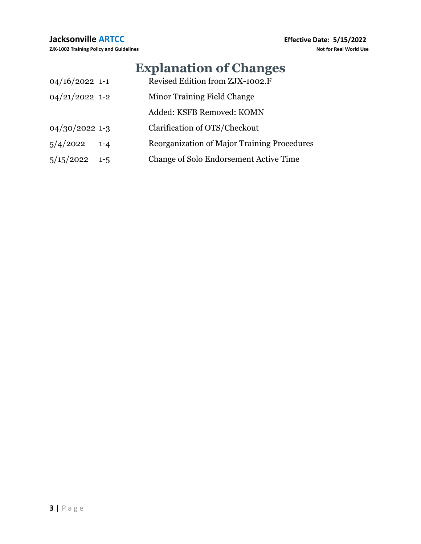# **Explanation of Changes**

| $04/16/2022$ 1-1     | Revised Edition from ZJX-1002.F               |
|----------------------|-----------------------------------------------|
| $04/21/2022$ 1-2     | Minor Training Field Change                   |
|                      | Added: KSFB Removed: KOMN                     |
| $04/30/2022$ 1-3     | Clarification of OTS/Checkout                 |
| 5/4/2022<br>$1 - 4$  | Reorganization of Major Training Procedures   |
| 5/15/2022<br>$1 - 5$ | <b>Change of Solo Endorsement Active Time</b> |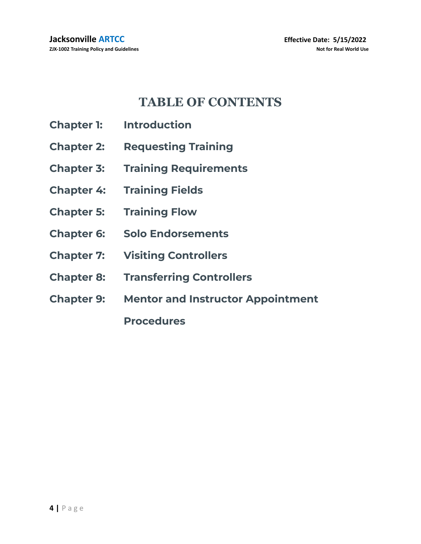# **TABLE OF CONTENTS**

- **Chapter 1: Introduction**
- **Chapter 2: Requesting Training**
- **Chapter 3: Training Requirements**
- **Chapter 4: Training Fields**
- **Chapter 5: Training Flow**
- **Chapter 6: Solo Endorsements**
- **Chapter 7: Visiting Controllers**
- **Chapter 8: Transferring Controllers**
- **Chapter 9: Mentor and Instructor Appointment**

**Procedures**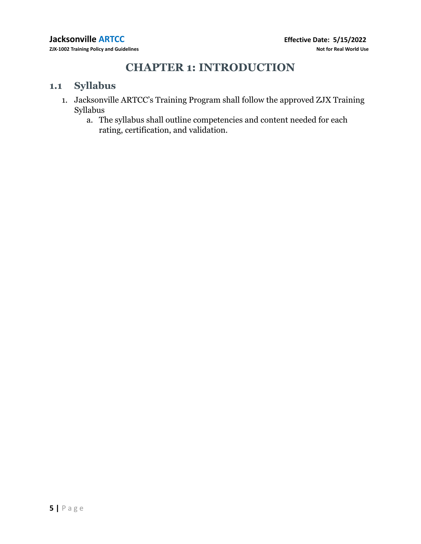# **CHAPTER 1: INTRODUCTION**

### **1.1 Syllabus**

- 1. Jacksonville ARTCC's Training Program shall follow the approved ZJX Training Syllabus
	- a. The syllabus shall outline competencies and content needed for each rating, certification, and validation.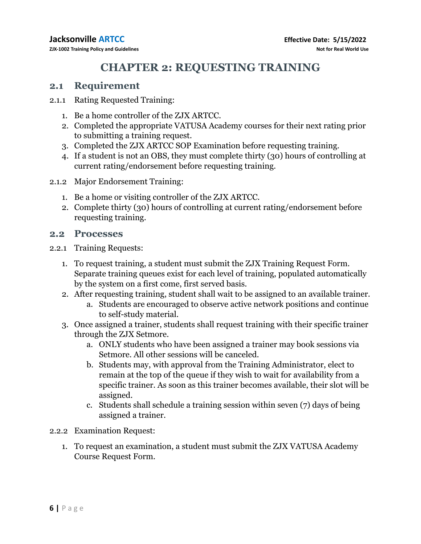# **CHAPTER 2: REQUESTING TRAINING**

### **2.1 Requirement**

- 2.1.1 Rating Requested Training:
	- 1. Be a home controller of the ZJX ARTCC.
	- 2. Completed the appropriate VATUSA Academy courses for their next rating prior to submitting a training request.
	- 3. Completed the ZJX ARTCC SOP Examination before requesting training.
	- 4. If a student is not an OBS, they must complete thirty (30) hours of controlling at current rating/endorsement before requesting training.
- 2.1.2 Major Endorsement Training:
	- 1. Be a home or visiting controller of the ZJX ARTCC.
	- 2. Complete thirty (30) hours of controlling at current rating/endorsement before requesting training.

### **2.2 Processes**

- 2.2.1 Training Requests:
	- 1. To request training, a student must submit the ZJX Training Request Form. Separate training queues exist for each level of training, populated automatically by the system on a first come, first served basis.
	- 2. After requesting training, student shall wait to be assigned to an available trainer.
		- a. Students are encouraged to observe active network positions and continue to self-study material.
	- 3. Once assigned a trainer, students shall request training with their specific trainer through the ZJX Setmore.
		- a. ONLY students who have been assigned a trainer may book sessions via Setmore. All other sessions will be canceled.
		- b. Students may, with approval from the Training Administrator, elect to remain at the top of the queue if they wish to wait for availability from a specific trainer. As soon as this trainer becomes available, their slot will be assigned.
		- c. Students shall schedule a training session within seven (7) days of being assigned a trainer.
- 2.2.2 Examination Request:
	- 1. To request an examination, a student must submit the ZJX VATUSA Academy Course Request Form.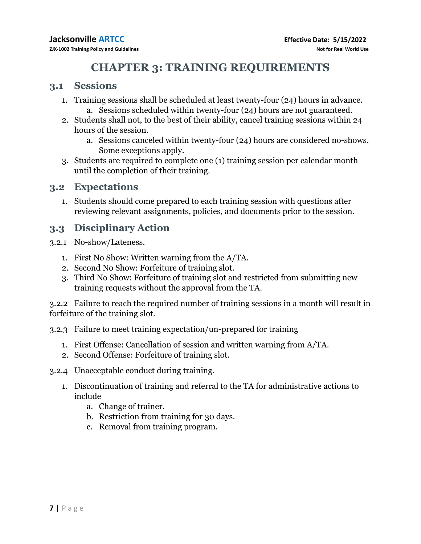# **CHAPTER 3: TRAINING REQUIREMENTS**

#### **3.1 Sessions**

- 1. Training sessions shall be scheduled at least twenty-four (24) hours in advance. a. Sessions scheduled within twenty-four (24) hours are not guaranteed.
- 2. Students shall not, to the best of their ability, cancel training sessions within 24 hours of the session.
	- a. Sessions canceled within twenty-four (24) hours are considered no-shows. Some exceptions apply.
- 3. Students are required to complete one (1) training session per calendar month until the completion of their training.

#### **3.2 Expectations**

1. Students should come prepared to each training session with questions after reviewing relevant assignments, policies, and documents prior to the session.

### **3.3 Disciplinary Action**

- 3.2.1 No-show/Lateness.
	- 1. First No Show: Written warning from the A/TA.
	- 2. Second No Show: Forfeiture of training slot.
	- 3. Third No Show: Forfeiture of training slot and restricted from submitting new training requests without the approval from the TA.

3.2.2 Failure to reach the required number of training sessions in a month will result in forfeiture of the training slot.

- 3.2.3 Failure to meet training expectation/un-prepared for training
	- 1. First Offense: Cancellation of session and written warning from A/TA.
	- 2. Second Offense: Forfeiture of training slot.
- 3.2.4 Unacceptable conduct during training.
	- 1. Discontinuation of training and referral to the TA for administrative actions to include
		- a. Change of trainer.
		- b. Restriction from training for 30 days.
		- c. Removal from training program.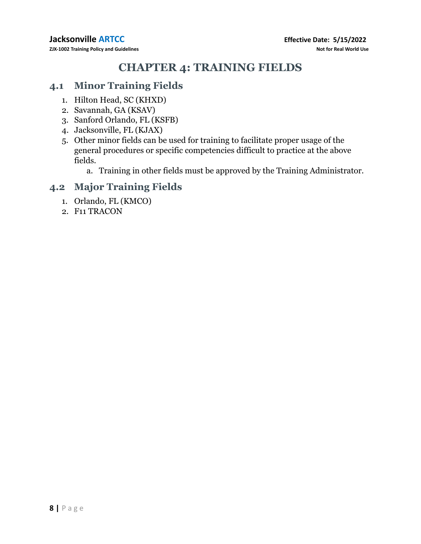# **CHAPTER 4: TRAINING FIELDS**

### **4.1 Minor Training Fields**

- 1. Hilton Head, SC (KHXD)
- 2. Savannah, GA (KSAV)
- 3. Sanford Orlando, FL (KSFB)
- 4. Jacksonville, FL (KJAX)
- 5. Other minor fields can be used for training to facilitate proper usage of the general procedures or specific competencies difficult to practice at the above fields.
	- a. Training in other fields must be approved by the Training Administrator.

### **4.2 Major Training Fields**

- 1. Orlando, FL (KMCO)
- 2. F11 TRACON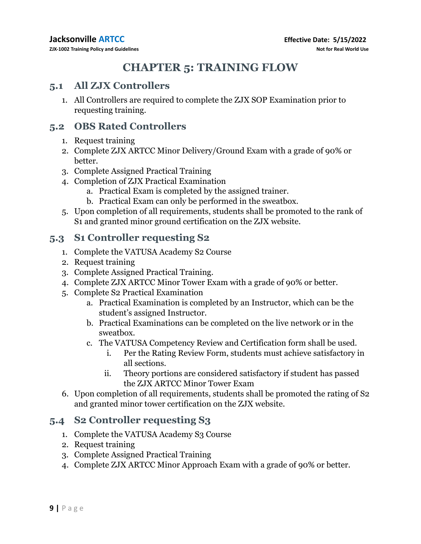# **CHAPTER 5: TRAINING FLOW**

### **5.1 All ZJX Controllers**

1. All Controllers are required to complete the ZJX SOP Examination prior to requesting training.

### **5.2 OBS Rated Controllers**

- 1. Request training
- 2. Complete ZJX ARTCC Minor Delivery/Ground Exam with a grade of 90% or better.
- 3. Complete Assigned Practical Training
- 4. Completion of ZJX Practical Examination
	- a. Practical Exam is completed by the assigned trainer.
	- b. Practical Exam can only be performed in the sweatbox.
- 5. Upon completion of all requirements, students shall be promoted to the rank of S1 and granted minor ground certification on the ZJX website.

### **5.3 S1 Controller requesting S2**

- 1. Complete the VATUSA Academy S2 Course
- 2. Request training
- 3. Complete Assigned Practical Training.
- 4. Complete ZJX ARTCC Minor Tower Exam with a grade of 90% or better.
- 5. Complete S2 Practical Examination
	- a. Practical Examination is completed by an Instructor, which can be the student's assigned Instructor.
	- b. Practical Examinations can be completed on the live network or in the sweatbox.
	- c. The VATUSA Competency Review and Certification form shall be used.
		- i. Per the Rating Review Form, students must achieve satisfactory in all sections.
		- ii. Theory portions are considered satisfactory if student has passed the ZJX ARTCC Minor Tower Exam
- 6. Upon completion of all requirements, students shall be promoted the rating of S2 and granted minor tower certification on the ZJX website.

### **5.4 S2 Controller requesting S3**

- 1. Complete the VATUSA Academy S3 Course
- 2. Request training
- 3. Complete Assigned Practical Training
- 4. Complete ZJX ARTCC Minor Approach Exam with a grade of 90% or better.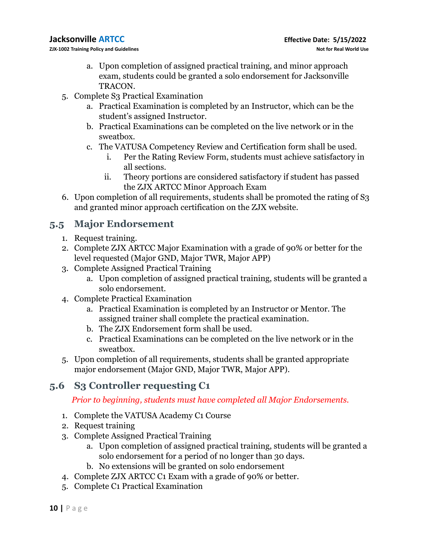- a. Upon completion of assigned practical training, and minor approach exam, students could be granted a solo endorsement for Jacksonville TRACON.
- 5. Complete S3 Practical Examination
	- a. Practical Examination is completed by an Instructor, which can be the student's assigned Instructor.
	- b. Practical Examinations can be completed on the live network or in the sweatbox.
	- c. The VATUSA Competency Review and Certification form shall be used.
		- i. Per the Rating Review Form, students must achieve satisfactory in all sections.
		- ii. Theory portions are considered satisfactory if student has passed the ZJX ARTCC Minor Approach Exam
- 6. Upon completion of all requirements, students shall be promoted the rating of S3 and granted minor approach certification on the ZJX website.

### **5.5 Major Endorsement**

- 1. Request training.
- 2. Complete ZJX ARTCC Major Examination with a grade of 90% or better for the level requested (Major GND, Major TWR, Major APP)
- 3. Complete Assigned Practical Training
	- a. Upon completion of assigned practical training, students will be granted a solo endorsement.
- 4. Complete Practical Examination
	- a. Practical Examination is completed by an Instructor or Mentor. The assigned trainer shall complete the practical examination.
	- b. The ZJX Endorsement form shall be used.
	- c. Practical Examinations can be completed on the live network or in the sweatbox.
- 5. Upon completion of all requirements, students shall be granted appropriate major endorsement (Major GND, Major TWR, Major APP).

### **5.6 S3 Controller requesting C1**

*Prior to beginning, students must have completed all Major Endorsements.*

- 1. Complete the VATUSA Academy C1 Course
- 2. Request training
- 3. Complete Assigned Practical Training
	- a. Upon completion of assigned practical training, students will be granted a solo endorsement for a period of no longer than 30 days.
	- b. No extensions will be granted on solo endorsement
- 4. Complete ZJX ARTCC C1 Exam with a grade of 90% or better.
- 5. Complete C1 Practical Examination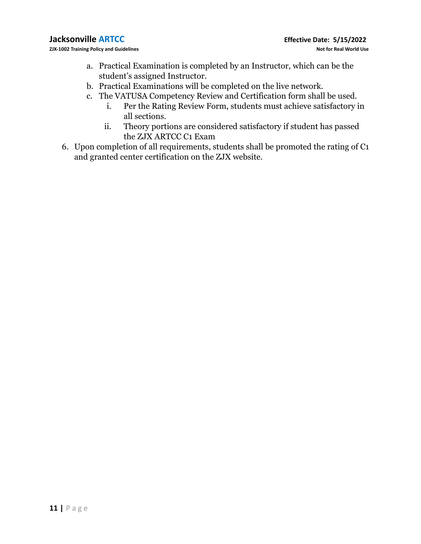- a. Practical Examination is completed by an Instructor, which can be the student's assigned Instructor.
- b. Practical Examinations will be completed on the live network.
- c. The VATUSA Competency Review and Certification form shall be used.
	- i. Per the Rating Review Form, students must achieve satisfactory in all sections.
	- ii. Theory portions are considered satisfactory if student has passed the ZJX ARTCC C1 Exam
- 6. Upon completion of all requirements, students shall be promoted the rating of C1 and granted center certification on the ZJX website.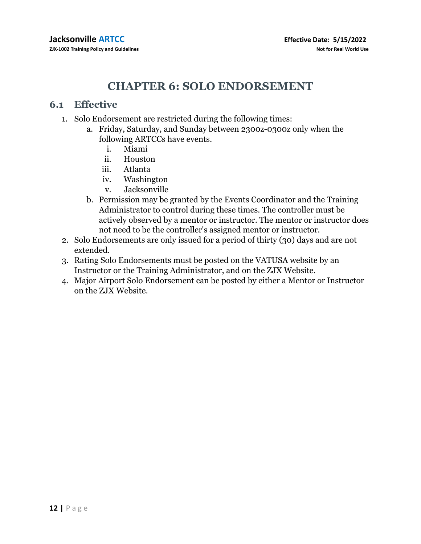## **CHAPTER 6: SOLO ENDORSEMENT**

#### **6.1 Effective**

- 1. Solo Endorsement are restricted during the following times:
	- a. Friday, Saturday, and Sunday between 2300z-0300z only when the following ARTCCs have events.
		- i. Miami
		- ii. Houston
		- iii. Atlanta
		- iv. Washington
		- v. Jacksonville
	- b. Permission may be granted by the Events Coordinator and the Training Administrator to control during these times. The controller must be actively observed by a mentor or instructor. The mentor or instructor does not need to be the controller's assigned mentor or instructor.
- 2. Solo Endorsements are only issued for a period of thirty (30) days and are not extended.
- 3. Rating Solo Endorsements must be posted on the VATUSA website by an Instructor or the Training Administrator, and on the ZJX Website.
- 4. Major Airport Solo Endorsement can be posted by either a Mentor or Instructor on the ZJX Website.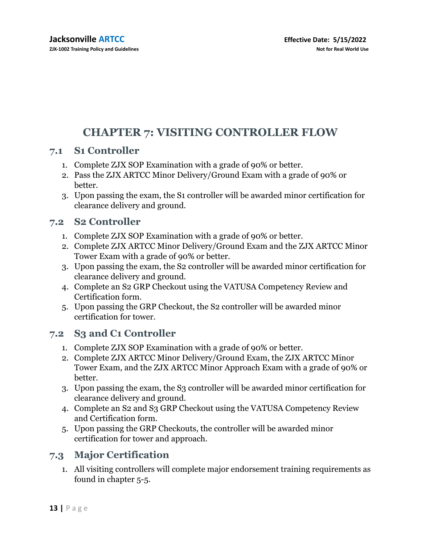# **CHAPTER 7: VISITING CONTROLLER FLOW**

### **7.1 S1 Controller**

- 1. Complete ZJX SOP Examination with a grade of 90% or better.
- 2. Pass the ZJX ARTCC Minor Delivery/Ground Exam with a grade of 90% or better.
- 3. Upon passing the exam, the S1 controller will be awarded minor certification for clearance delivery and ground.

### **7.2 S2 Controller**

- 1. Complete ZJX SOP Examination with a grade of 90% or better.
- 2. Complete ZJX ARTCC Minor Delivery/Ground Exam and the ZJX ARTCC Minor Tower Exam with a grade of 90% or better.
- 3. Upon passing the exam, the S2 controller will be awarded minor certification for clearance delivery and ground.
- 4. Complete an S2 GRP Checkout using the VATUSA Competency Review and Certification form.
- 5. Upon passing the GRP Checkout, the S2 controller will be awarded minor certification for tower.

### **7.2 S3 and C1 Controller**

- 1. Complete ZJX SOP Examination with a grade of 90% or better.
- 2. Complete ZJX ARTCC Minor Delivery/Ground Exam, the ZJX ARTCC Minor Tower Exam, and the ZJX ARTCC Minor Approach Exam with a grade of 90% or better.
- 3. Upon passing the exam, the S3 controller will be awarded minor certification for clearance delivery and ground.
- 4. Complete an S2 and S3 GRP Checkout using the VATUSA Competency Review and Certification form.
- 5. Upon passing the GRP Checkouts, the controller will be awarded minor certification for tower and approach.

### **7.3 Major Certification**

1. All visiting controllers will complete major endorsement training requirements as found in chapter 5-5.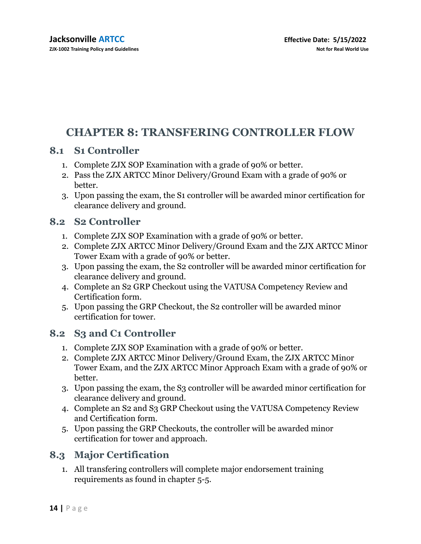# **CHAPTER 8: TRANSFERING CONTROLLER FLOW**

### **8.1 S1 Controller**

- 1. Complete ZJX SOP Examination with a grade of 90% or better.
- 2. Pass the ZJX ARTCC Minor Delivery/Ground Exam with a grade of 90% or better.
- 3. Upon passing the exam, the S1 controller will be awarded minor certification for clearance delivery and ground.

### **8.2 S2 Controller**

- 1. Complete ZJX SOP Examination with a grade of 90% or better.
- 2. Complete ZJX ARTCC Minor Delivery/Ground Exam and the ZJX ARTCC Minor Tower Exam with a grade of 90% or better.
- 3. Upon passing the exam, the S2 controller will be awarded minor certification for clearance delivery and ground.
- 4. Complete an S2 GRP Checkout using the VATUSA Competency Review and Certification form.
- 5. Upon passing the GRP Checkout, the S2 controller will be awarded minor certification for tower.

### **8.2 S3 and C1 Controller**

- 1. Complete ZJX SOP Examination with a grade of 90% or better.
- 2. Complete ZJX ARTCC Minor Delivery/Ground Exam, the ZJX ARTCC Minor Tower Exam, and the ZJX ARTCC Minor Approach Exam with a grade of 90% or better.
- 3. Upon passing the exam, the S3 controller will be awarded minor certification for clearance delivery and ground.
- 4. Complete an S2 and S3 GRP Checkout using the VATUSA Competency Review and Certification form.
- 5. Upon passing the GRP Checkouts, the controller will be awarded minor certification for tower and approach.

### **8.3 Major Certification**

1. All transfering controllers will complete major endorsement training requirements as found in chapter 5-5.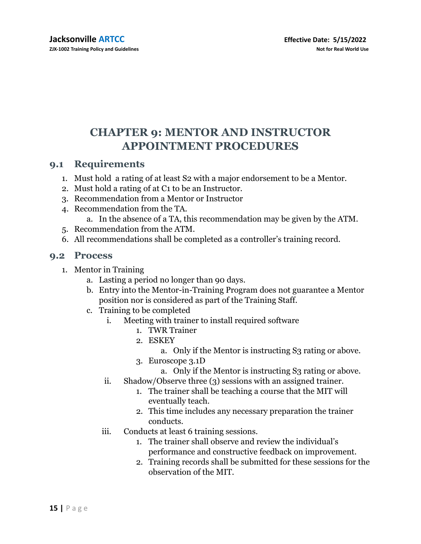# **CHAPTER 9: MENTOR AND INSTRUCTOR APPOINTMENT PROCEDURES**

### **9.1 Requirements**

- 1. Must hold a rating of at least S2 with a major endorsement to be a Mentor.
- 2. Must hold a rating of at C1 to be an Instructor.
- 3. Recommendation from a Mentor or Instructor
- 4. Recommendation from the TA.
	- a. In the absence of a TA, this recommendation may be given by the ATM.
- 5. Recommendation from the ATM.
- 6. All recommendations shall be completed as a controller's training record.

#### **9.2 Process**

- 1. Mentor in Training
	- a. Lasting a period no longer than 90 days.
	- b. Entry into the Mentor-in-Training Program does not guarantee a Mentor position nor is considered as part of the Training Staff.
	- c. Training to be completed
		- i. Meeting with trainer to install required software
			- 1. TWR Trainer
			- 2. ESKEY
				- a. Only if the Mentor is instructing S3 rating or above.
			- 3. Euroscope 3.1D
				- a. Only if the Mentor is instructing S3 rating or above.
		- ii. Shadow/Observe three (3) sessions with an assigned trainer.
			- 1. The trainer shall be teaching a course that the MIT will eventually teach.
			- 2. This time includes any necessary preparation the trainer conducts.
		- iii. Conducts at least 6 training sessions.
			- 1. The trainer shall observe and review the individual's performance and constructive feedback on improvement.
			- 2. Training records shall be submitted for these sessions for the observation of the MIT.